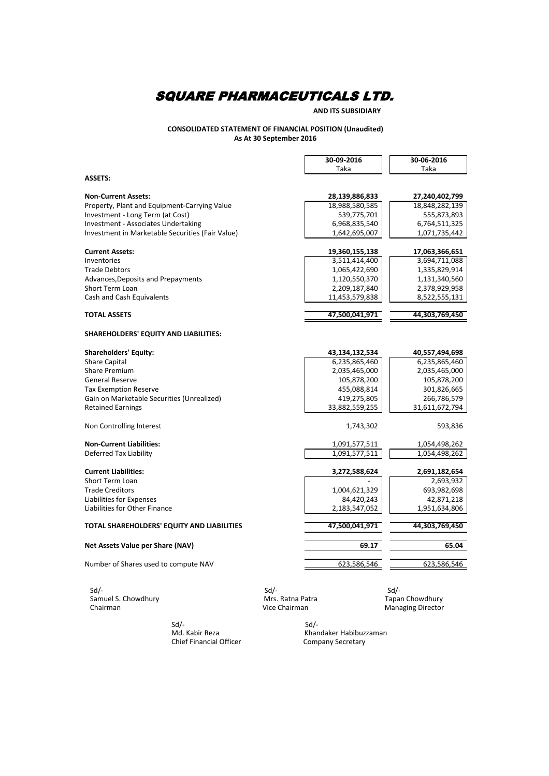**AND ITS SUBSIDIARY**

### **CONSOLIDATED STATEMENT OF FINANCIAL POSITION (Unaudited) As At 30 September 2016**

|                                                  | 30-09-2016     | 30-06-2016     |
|--------------------------------------------------|----------------|----------------|
|                                                  | Taka           | Taka           |
| <b>ASSETS:</b>                                   |                |                |
| <b>Non-Current Assets:</b>                       | 28,139,886,833 | 27,240,402,799 |
| Property, Plant and Equipment-Carrying Value     | 18,988,580,585 | 18,848,282,139 |
| Investment - Long Term (at Cost)                 | 539,775,701    | 555,873,893    |
| <b>Investment - Associates Undertaking</b>       | 6,968,835,540  | 6,764,511,325  |
| Investment in Marketable Securities (Fair Value) | 1,642,695,007  | 1,071,735,442  |
| <b>Current Assets:</b>                           | 19,360,155,138 | 17,063,366,651 |
| Inventories                                      | 3,511,414,400  | 3,694,711,088  |
| <b>Trade Debtors</b>                             | 1,065,422,690  | 1,335,829,914  |
| Advances, Deposits and Prepayments               | 1,120,550,370  | 1,131,340,560  |
| <b>Short Term Loan</b>                           | 2,209,187,840  | 2,378,929,958  |
| Cash and Cash Equivalents                        | 11,453,579,838 | 8,522,555,131  |
| <b>TOTAL ASSETS</b>                              | 47,500,041,971 | 44,303,769,450 |
| <b>SHAREHOLDERS' EQUITY AND LIABILITIES:</b>     |                |                |
| <b>Shareholders' Equity:</b>                     | 43,134,132,534 | 40,557,494,698 |
| <b>Share Capital</b>                             | 6,235,865,460  | 6,235,865,460  |
| <b>Share Premium</b>                             | 2,035,465,000  | 2,035,465,000  |
| <b>General Reserve</b>                           | 105,878,200    | 105,878,200    |
| <b>Tax Exemption Reserve</b>                     | 455,088,814    | 301,826,665    |
| Gain on Marketable Securities (Unrealized)       | 419,275,805    | 266,786,579    |
| <b>Retained Earnings</b>                         | 33,882,559,255 | 31,611,672,794 |
| Non Controlling Interest                         | 1,743,302      | 593,836        |
| <b>Non-Current Liabilities:</b>                  | 1,091,577,511  | 1,054,498,262  |
| Deferred Tax Liability                           | 1,091,577,511  | 1,054,498,262  |
| <b>Current Liabilities:</b>                      | 3,272,588,624  | 2,691,182,654  |
| Short Term Loan                                  |                | 2,693,932      |
| <b>Trade Creditors</b>                           | 1,004,621,329  | 693,982,698    |
| Liabilities for Expenses                         | 84,420,243     | 42,871,218     |
| Liabilities for Other Finance                    | 2,183,547,052  | 1,951,634,806  |
| TOTAL SHAREHOLDERS' EQUITY AND LIABILITIES       | 47,500,041,971 | 44,303,769,450 |
| Net Assets Value per Share (NAV)                 | 69.17          | 65.04          |
| Number of Shares used to compute NAV             | 623,586,546    | 623,586,546    |
|                                                  |                |                |

 Sd/- Sd/- Sd/- Samuel S. Chowdhury **Mrs. Ratna Patra** Mrs. Ratna Patra Tapan Chowdhury Sd/-<br>
Samuel S. Chowdhury Samuel S. Chowdhury<br>
Chairman Managing Director<br>
Chairman Managing Director<br>
Chairman Managing Director

Sd/-<br>Md. Kabir Reza Chief Financial Officer Sd/-<br>Khandaker Habibuzzaman<br>Company Secretary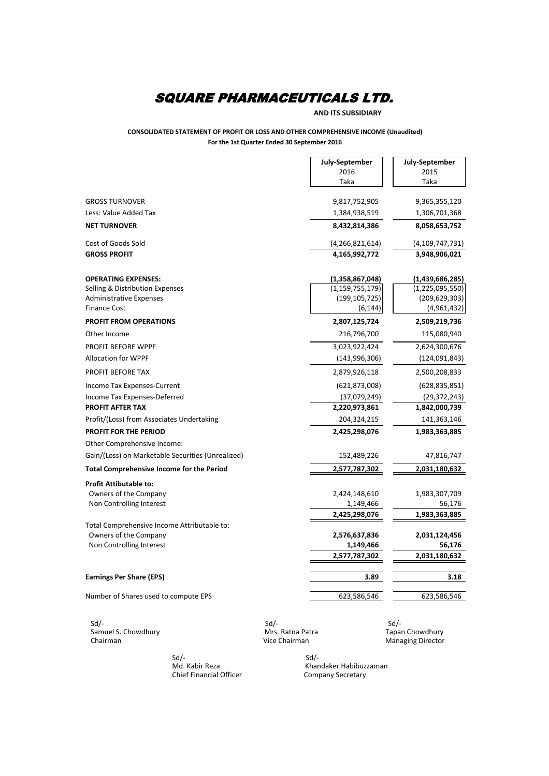### **AND ITS SUBSIDIARY**

#### **CONSOLIDATED STATEMENT OF PROFIT OR LOSS AND OTHER COMPREHENSIVE INCOME (Unaudited) For the 1st Quarter Ended 30 September 2016**

|                                                   | July-September     | July-September     |
|---------------------------------------------------|--------------------|--------------------|
|                                                   | 2016               | 2015               |
|                                                   | Taka               | Taka               |
| <b>GROSS TURNOVER</b>                             | 9,817,752,905      | 9,365,355,120      |
| Less: Value Added Tax                             | 1,384,938,519      | 1,306,701,368      |
| <b>NET TURNOVER</b>                               | 8,432,814,386      | 8,058,653,752      |
| Cost of Goods Sold                                | (4, 266, 821, 614) | (4, 109, 747, 731) |
| <b>GROSS PROFIT</b>                               | 4,165,992,772      | 3,948,906,021      |
| <b>OPERATING EXPENSES:</b>                        | (1,358,867,048)    | (1,439,686,285)    |
| Selling & Distribution Expenses                   | (1, 159, 755, 179) | (1, 225, 095, 550) |
| <b>Administrative Expenses</b>                    | (199, 105, 725)    | (209, 629, 303)    |
| <b>Finance Cost</b>                               | (6, 144)           | (4,961,432)        |
| <b>PROFIT FROM OPERATIONS</b>                     | 2,807,125,724      | 2,509,219,736      |
| Other Income                                      | 216,796,700        | 115,080,940        |
| PROFIT BEFORE WPPF                                | 3,023,922,424      | 2,624,300,676      |
| <b>Allocation for WPPF</b>                        | (143, 996, 306)    | (124,091,843)      |
| PROFIT BEFORE TAX                                 | 2,879,926,118      | 2,500,208,833      |
| Income Tax Expenses-Current                       | (621, 873, 008)    | (628, 835, 851)    |
| Income Tax Expenses-Deferred                      | (37,079,249)       | (29, 372, 243)     |
| <b>PROFIT AFTER TAX</b>                           | 2,220,973,861      | 1,842,000,739      |
| Profit/(Loss) from Associates Undertaking         | 204,324,215        | 141,363,146        |
| <b>PROFIT FOR THE PERIOD</b>                      | 2,425,298,076      | 1,983,363,885      |
| Other Comprehensive Income:                       |                    |                    |
| Gain/(Loss) on Marketable Securities (Unrealized) | 152,489,226        | 47,816,747         |
| <b>Total Comprehensive Income for the Period</b>  | 2,577,787,302      | 2,031,180,632      |
| <b>Profit Attibutable to:</b>                     |                    |                    |
| Owners of the Company                             | 2,424,148,610      | 1,983,307,709      |
| Non Controlling Interest                          | 1,149,466          | 56,176             |
|                                                   | 2,425,298,076      | 1,983,363,885      |
| Total Comprehensive Income Attributable to:       |                    |                    |
| Owners of the Company                             | 2,576,637,836      | 2,031,124,456      |
| Non Controlling Interest                          | 1,149,466          | 56,176             |
|                                                   | 2,577,787,302      | 2,031,180,632      |
| <b>Earnings Per Share (EPS)</b>                   | 3.89               | 3.18               |
| Number of Shares used to compute EPS              |                    |                    |
|                                                   | 623,586,546        | 623,586,546        |

Samuel S. Chowdhury **Mrs. Ratna Patra** Mrs. Ratna Patra Tapan Chowdhury Chairman Vice Chairman Managing Director

Sd/- Sd/- Sd/-

 Sd/- Sd/- Chief Financial Officer

Khandaker Habibuzzaman<br>Company Secretary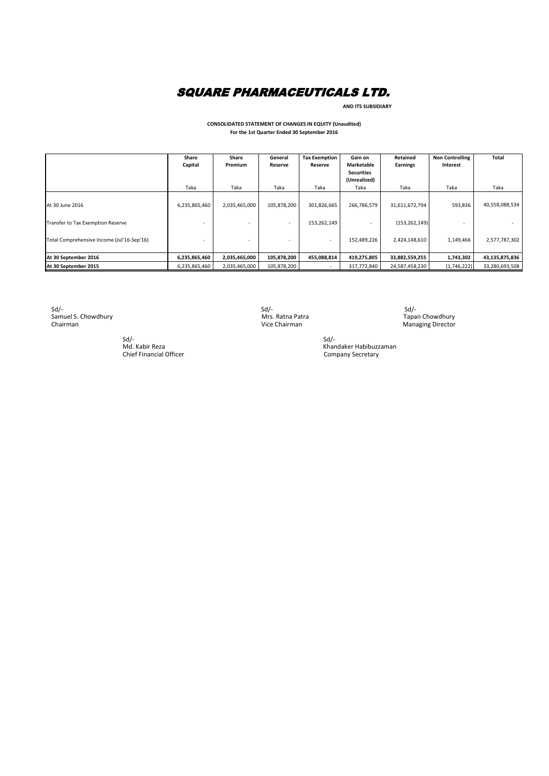**AND ITS SUBSIDIARY**

#### **CONSOLIDATED STATEMENT OF CHANGES IN EQUITY (Unaudited) For the 1st Quarter Ended 30 September 2016**

|                                            | Share         | Share         | General                  | <b>Tax Exemption</b> | Gain on           | Retained        | <b>Non Controlling</b> | Total          |
|--------------------------------------------|---------------|---------------|--------------------------|----------------------|-------------------|-----------------|------------------------|----------------|
|                                            | Capital       | Premium       | Reserve                  | Reserve              | Marketable        | <b>Earnings</b> | Interest               |                |
|                                            |               |               |                          |                      | <b>Securities</b> |                 |                        |                |
|                                            |               |               |                          |                      | (Unrealized)      |                 |                        |                |
|                                            | Taka          | Taka          | Taka                     | Taka                 | Taka              | Taka            | Taka                   | Taka           |
|                                            |               |               |                          |                      |                   |                 |                        |                |
| At 30 June 2016                            | 6,235,865,460 | 2,035,465,000 | 105,878,200              | 301,826,665          | 266,786,579       | 31,611,672,794  | 593,836                | 40,558,088,534 |
|                                            |               |               |                          |                      |                   |                 |                        |                |
| Transfer to Tax Exemption Reserve          |               |               | $\overline{a}$           | 153,262,149          |                   | (153, 262, 149) |                        |                |
|                                            |               |               |                          |                      |                   |                 |                        |                |
| Total Comprehensive Income (Jul'16-Sep'16) |               |               | $\overline{\phantom{a}}$ | <b>.</b>             | 152,489,226       | 2,424,148,610   | 1,149,466              | 2,577,787,302  |
|                                            |               |               |                          |                      |                   |                 |                        |                |
| At 30 September 2016                       | 6,235,865,460 | 2,035,465,000 | 105,878,200              | 455,088,814          | 419,275,805       | 33,882,559,255  | 1,743,302              | 43,135,875,836 |
| At 30 September 2015                       | 6,235,865,460 | 2,035,465,000 | 105,878,200              |                      | 317,772,840       | 24,587,458,230  | (1,746,222)            | 33,280,693,508 |

 $Sd$  - Sd  $Sd$  - Sd  $Sd$  - Sd  $Sd$  - Sd  $Sd$  - Sd  $Sd$  - Sd  $Sd$  - Sd  $Sd$  - Sd  $Sd$  - Sd  $Sd$  - Sd  $Sd$  - Sd  $Sd$  - Sd  $Sd$  - Sd  $Sd$  - Sd  $Sd$  - Sd  $Sd$  - Sd  $Sd$  - Sd  $Sd$  - Sd  $Sd$  - Sd  $Sd$  - Sd  $Sd$  - Sd  $Sd$  - Sd Sd/-<br>
Samuel S. Chowdhury Mrs. Ratna Patra<br>
Chairman Mrs. Ratna Patra Tapan Choirman Mrs. Ratna Patra Choirman

 $Sd$ - $Sd$ -**Card**<br>Md. Kabir Reza<br>Chief Financial Officer

Tapan Chowdhury<br>Managing Director

Ju,<br>Khandaker Habibuzzaman<br>Company Secretary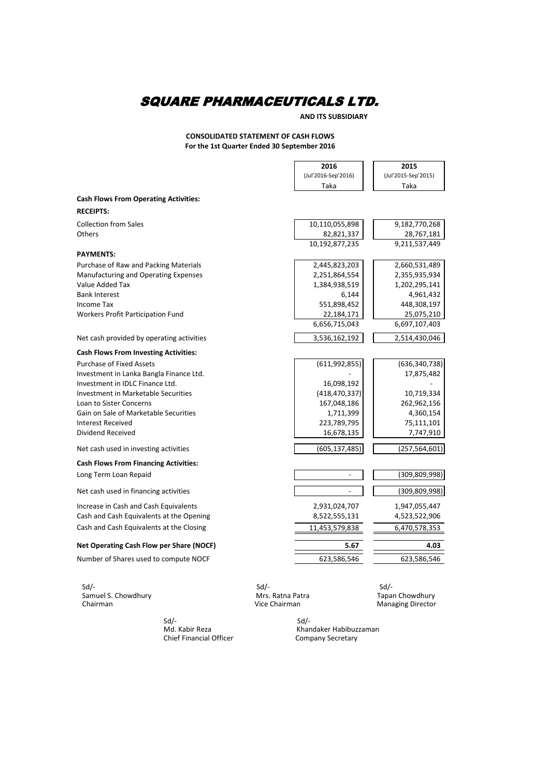**AND ITS SUBSIDIARY**

### **CONSOLIDATED STATEMENT OF CASH FLOWS For the 1st Quarter Ended 30 September 2016**

|                                              | 2016                | 2015                |
|----------------------------------------------|---------------------|---------------------|
|                                              | (Jul'2016-Sep'2016) | (Jul'2015-Sep'2015) |
|                                              | Taka                | Taka                |
| <b>Cash Flows From Operating Activities:</b> |                     |                     |
| <b>RECEIPTS:</b>                             |                     |                     |
| <b>Collection from Sales</b>                 | 10,110,055,898      | 9,182,770,268       |
| <b>Others</b>                                | 82,821,337          | 28,767,181          |
|                                              | 10,192,877,235      | 9,211,537,449       |
| <b>PAYMENTS:</b>                             |                     |                     |
| Purchase of Raw and Packing Materials        | 2,445,823,203       | 2,660,531,489       |
| Manufacturing and Operating Expenses         | 2,251,864,554       | 2,355,935,934       |
| Value Added Tax                              | 1,384,938,519       | 1,202,295,141       |
| <b>Bank Interest</b>                         | 6,144               | 4,961,432           |
| <b>Income Tax</b>                            | 551,898,452         | 448,308,197         |
| <b>Workers Profit Participation Fund</b>     | 22,184,171          | 25,075,210          |
|                                              | 6,656,715,043       | 6,697,107,403       |
| Net cash provided by operating activities    | 3,536,162,192       | 2,514,430,046       |
| <b>Cash Flows From Investing Activities:</b> |                     |                     |
| <b>Purchase of Fixed Assets</b>              | (611, 992, 855)     | (636, 340, 738)     |
| Investment in Lanka Bangla Finance Ltd.      |                     | 17,875,482          |
| Investment in IDLC Finance Ltd.              | 16,098,192          |                     |
| Investment in Marketable Securities          | (418, 470, 337)     | 10,719,334          |
| Loan to Sister Concerns                      | 167,048,186         | 262,962,156         |
| Gain on Sale of Marketable Securities        | 1,711,399           | 4,360,154           |
| <b>Interest Received</b>                     | 223,789,795         | 75,111,101          |
| Dividend Received                            | 16,678,135          | 7,747,910           |
| Net cash used in investing activities        | (605,137,485)       | (257, 564, 601)     |
| <b>Cash Flows From Financing Activities:</b> |                     |                     |
| Long Term Loan Repaid                        |                     | (309, 809, 998)     |
| Net cash used in financing activities        |                     | (309, 809, 998)     |
| Increase in Cash and Cash Equivalents        | 2,931,024,707       | 1,947,055,447       |
| Cash and Cash Equivalents at the Opening     | 8,522,555,131       | 4,523,522,906       |
| Cash and Cash Equivalents at the Closing     | 11,453,579,838      | 6,470,578,353       |
| Net Operating Cash Flow per Share (NOCF)     | 5.67                | 4.03                |
| Number of Shares used to compute NOCF        | 623,586,546         | 623,586,546         |
|                                              |                     |                     |

Sd/-<br>Samuel S. Chowdhury extending the state of Solomon Solomon State State State State State State State State St Samuel S. Chowdhury Mrs. Ratna Patra Chairman Chairman Choice Chairman Choice Chairman Choice Chairman Choice Chairman Choice Chairman Choice Chairman Choice Chairman Choice Chairman Choice Chairman Choice Chairman Choice

Sd/-<br>Tapan Chowdhury<br>Managing Director

 $Sd$ - $Sd$ -Chief Financial Officer Company Secretary

Sd/-<br>Khandaker Habibuzzaman<br>Company Secretary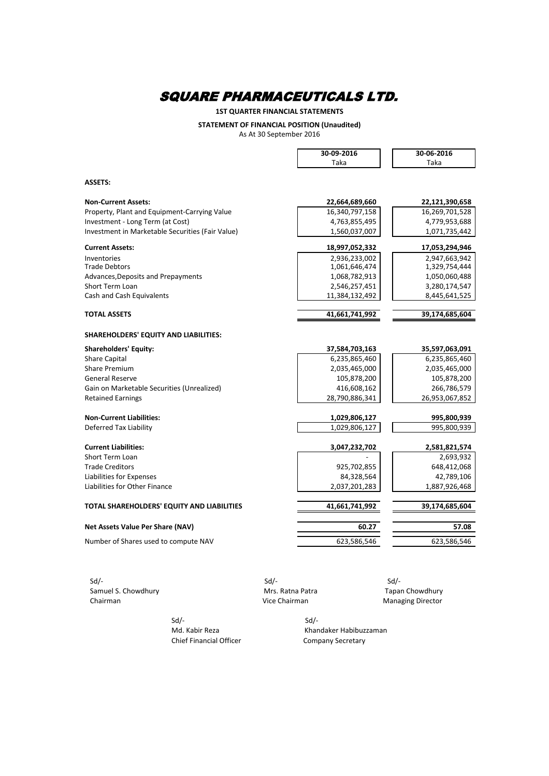**1ST QUARTER FINANCIAL STATEMENTS**

**STATEMENT OF FINANCIAL POSITION (Unaudited)**

As At 30 September 2016

|                                                  | 30-09-2016     | 30-06-2016     |
|--------------------------------------------------|----------------|----------------|
|                                                  | Taka           | Taka           |
|                                                  |                |                |
| <b>ASSETS:</b>                                   |                |                |
| <b>Non-Current Assets:</b>                       | 22,664,689,660 | 22,121,390,658 |
| Property, Plant and Equipment-Carrying Value     | 16,340,797,158 | 16,269,701,528 |
| Investment - Long Term (at Cost)                 | 4,763,855,495  | 4,779,953,688  |
| Investment in Marketable Securities (Fair Value) | 1,560,037,007  | 1,071,735,442  |
| <b>Current Assets:</b>                           | 18,997,052,332 | 17,053,294,946 |
| Inventories                                      | 2,936,233,002  | 2,947,663,942  |
| <b>Trade Debtors</b>                             | 1,061,646,474  | 1,329,754,444  |
| Advances, Deposits and Prepayments               | 1,068,782,913  | 1,050,060,488  |
| Short Term Loan                                  | 2,546,257,451  | 3,280,174,547  |
| Cash and Cash Equivalents                        | 11,384,132,492 | 8,445,641,525  |
| <b>TOTAL ASSETS</b>                              | 41,661,741,992 | 39,174,685,604 |
|                                                  |                |                |
| SHAREHOLDERS' EQUITY AND LIABILITIES:            |                |                |
| <b>Shareholders' Equity:</b>                     | 37,584,703,163 | 35,597,063,091 |
| <b>Share Capital</b>                             | 6,235,865,460  | 6,235,865,460  |
| Share Premium                                    | 2,035,465,000  | 2,035,465,000  |
| <b>General Reserve</b>                           | 105,878,200    | 105,878,200    |
| Gain on Marketable Securities (Unrealized)       | 416,608,162    | 266,786,579    |
| <b>Retained Earnings</b>                         | 28,790,886,341 | 26,953,067,852 |
| <b>Non-Current Liabilities:</b>                  | 1,029,806,127  | 995,800,939    |
| Deferred Tax Liability                           | 1,029,806,127  | 995,800,939    |
|                                                  |                |                |
| <b>Current Liabilities:</b>                      | 3,047,232,702  | 2,581,821,574  |
| Short Term Loan                                  |                | 2,693,932      |
| <b>Trade Creditors</b>                           | 925,702,855    | 648,412,068    |
| Liabilities for Expenses                         | 84,328,564     | 42,789,106     |
| Liabilities for Other Finance                    | 2,037,201,283  | 1,887,926,468  |
| TOTAL SHAREHOLDERS' EQUITY AND LIABILITIES       | 41,661,741,992 | 39,174,685,604 |
| <b>Net Assets Value Per Share (NAV)</b>          | 60.27          | 57.08          |
| Number of Shares used to compute NAV             | 623,586,546    | 623,586,546    |
|                                                  |                |                |
|                                                  |                |                |
|                                                  |                |                |

 Sd/- Sd/- Sd/- Samuel S. Chowdhury **Samuel S. Chowdhury** Mrs. Ratna Patra **Tapan Chowdhury** Chairman Chowdhury Chairman

**Managing Director** 

 $Sd$ - $Sd$ -Chief Financial Officer Company Secretary

Md. Kabir Reza Khandaker Habibuzzaman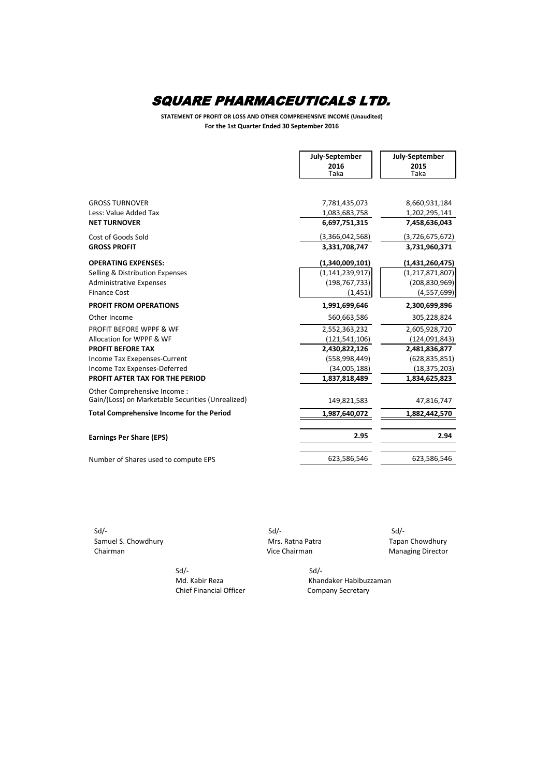**STATEMENT OF PROFIT OR LOSS AND OTHER COMPREHENSIVE INCOME (Unaudited) For the 1st Quarter Ended 30 September 2016**

|                                                   | <b>July-September</b> | July-September     |
|---------------------------------------------------|-----------------------|--------------------|
|                                                   | 2016<br>Taka          | 2015<br>Taka       |
|                                                   |                       |                    |
| <b>GROSS TURNOVER</b>                             | 7,781,435,073         | 8,660,931,184      |
| Less: Value Added Tax                             | 1,083,683,758         | 1,202,295,141      |
| <b>NET TURNOVER</b>                               | 6,697,751,315         | 7,458,636,043      |
| Cost of Goods Sold                                | (3,366,042,568)       | (3,726,675,672)    |
| <b>GROSS PROFIT</b>                               | 3,331,708,747         | 3,731,960,371      |
| <b>OPERATING EXPENSES:</b>                        | (1,340,009,101)       | (1,431,260,475)    |
| Selling & Distribution Expenses                   | (1, 141, 239, 917)    | (1, 217, 871, 807) |
| <b>Administrative Expenses</b>                    | (198, 767, 733)       | (208, 830, 969)    |
| <b>Finance Cost</b>                               | (1, 451)              | (4, 557, 699)      |
| <b>PROFIT FROM OPERATIONS</b>                     | 1,991,699,646         | 2,300,699,896      |
| Other Income                                      | 560,663,586           | 305,228,824        |
| <b>PROFIT BEFORE WPPF &amp; WF</b>                | 2,552,363,232         | 2,605,928,720      |
| Allocation for WPPF & WF                          | (121, 541, 106)       | (124, 091, 843)    |
| <b>PROFIT BEFORE TAX</b>                          | 2,430,822,126         | 2,481,836,877      |
| Income Tax Exepenses-Current                      | (558,998,449)         | (628, 835, 851)    |
| Income Tax Expenses-Deferred                      | (34,005,188)          | (18, 375, 203)     |
| PROFIT AFTER TAX FOR THE PERIOD                   | 1,837,818,489         | 1,834,625,823      |
| Other Comprehensive Income:                       |                       |                    |
| Gain/(Loss) on Marketable Securities (Unrealized) | 149,821,583           | 47,816,747         |
| <b>Total Comprehensive Income for the Period</b>  | 1,987,640,072         | 1,882,442,570      |
| <b>Earnings Per Share (EPS)</b>                   | 2.95                  | 2.94               |
| Number of Shares used to compute EPS              | 623,586,546           | 623,586,546        |

 Sd/- Sd/- Sd/- Samuel S. Chowdhury **Mrs. Ratna Patra** Mrs. Ratna Patra Tapan Chowdhury

Chairman **Chairman** Chairman Chairman Managing Director

 $Sd$ - $Sd$ -

Md. Kabir Reza Khandaker Habibuzzaman Chief Financial Officer Company Secretary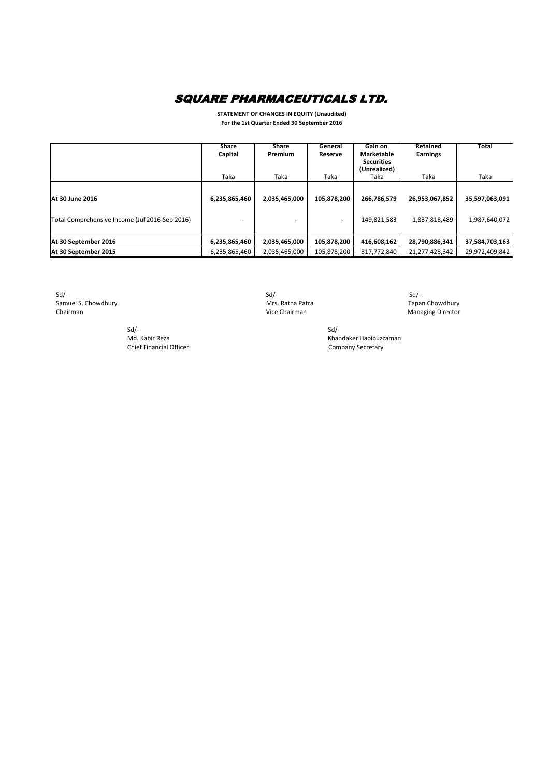**STATEMENT OF CHANGES IN EQUITY (Unaudited) For the 1st Quarter Ended 30 September 2016**

|                                                                   | <b>Share</b><br>Capital | <b>Share</b><br><b>Premium</b> | General<br><b>Reserve</b> | Gain on<br><b>Marketable</b><br><b>Securities</b><br>(Unrealized) | <b>Retained</b><br><b>Earnings</b> | <b>Total</b>                    |
|-------------------------------------------------------------------|-------------------------|--------------------------------|---------------------------|-------------------------------------------------------------------|------------------------------------|---------------------------------|
|                                                                   | Taka                    | Taka                           | Taka                      | Taka                                                              | Taka                               | Taka                            |
| At 30 June 2016<br>Total Comprehensive Income (Jul'2016-Sep'2016) | 6,235,865,460           | 2,035,465,000                  | 105,878,200               | 266,786,579<br>149,821,583                                        | 26,953,067,852<br>1,837,818,489    | 35,597,063,091<br>1,987,640,072 |
| At 30 September 2016                                              | 6,235,865,460           | 2,035,465,000                  | 105,878,200               | 416,608,162                                                       | 28,790,886,341                     | 37,584,703,163                  |
| At 30 September 2015                                              | 6,235,865,460           | 2,035,465,000                  | 105,878,200               | 317,772,840                                                       | 21,277,428,342                     | 29,972,409,842                  |

 $Sd$  -  $Sd$  -  $Sd$  -  $Sd$  -  $Sd$  -  $Sd$  -  $Sd$  -  $Sd$  -  $Sd$  -  $Sd$  -  $Sd$  -  $Sd$  -  $Sd$  -  $Sd$  -  $Sd$  -  $Sd$  -  $Sd$  -  $Sd$  -  $Sd$  -  $Sd$  -  $Sd$  -  $Sd$  -  $Sd$  -  $Sd$  -  $Sd$  -  $Sd$  -  $Sd$  -  $Sd$  -  $Sd$  -  $Sd$  -  $Sd$  -  $Sd$ Samuel S. Chowdhury **Mrs. Ratna Patra** Mrs. Ratna Patra **Tapan Chowdhury** Chairman **Managing Director** Chairman **Vice Chairman** Vice Chairman Managing Director

 $Sd$ - $Sd$ -Chief Financial Officer Company Secretary

Md. Kabir Reza Khandaker Habibuzzaman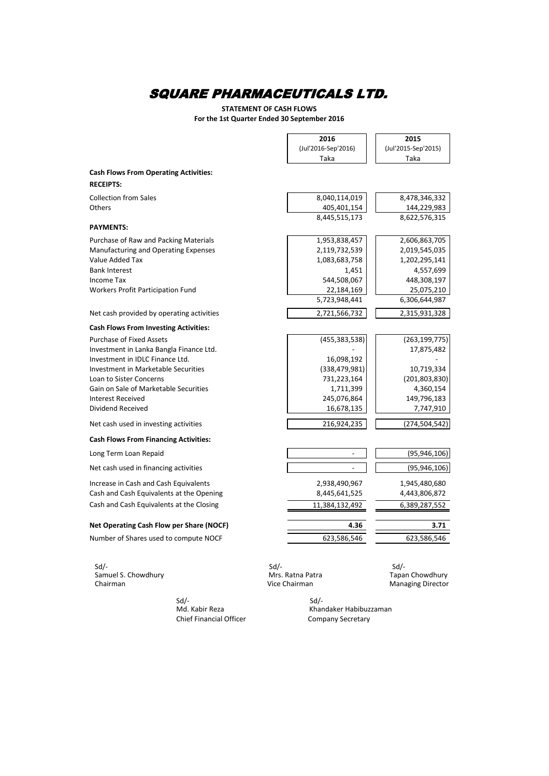**STATEMENT OF CASH FLOWS For the 1st Quarter Ended 30 September 2016**

|                                              | 2016                | 2015                     |
|----------------------------------------------|---------------------|--------------------------|
|                                              | (Jul'2016-Sep'2016) | (Jul'2015-Sep'2015)      |
|                                              | Taka                | Taka                     |
|                                              |                     |                          |
| <b>Cash Flows From Operating Activities:</b> |                     |                          |
| <b>RECEIPTS:</b>                             |                     |                          |
| <b>Collection from Sales</b>                 | 8,040,114,019       | 8,478,346,332            |
| Others                                       | 405,401,154         | 144,229,983              |
|                                              | 8,445,515,173       | 8,622,576,315            |
| <b>PAYMENTS:</b>                             |                     |                          |
| Purchase of Raw and Packing Materials        | 1,953,838,457       | 2,606,863,705            |
| Manufacturing and Operating Expenses         | 2,119,732,539       | 2,019,545,035            |
| Value Added Tax                              | 1,083,683,758       | 1,202,295,141            |
| <b>Bank Interest</b>                         | 1,451               | 4,557,699                |
| Income Tax                                   | 544,508,067         | 448,308,197              |
| Workers Profit Participation Fund            | 22,184,169          | 25,075,210               |
|                                              | 5,723,948,441       | 6,306,644,987            |
| Net cash provided by operating activities    | 2,721,566,732       | 2,315,931,328            |
| <b>Cash Flows From Investing Activities:</b> |                     |                          |
| <b>Purchase of Fixed Assets</b>              | (455, 383, 538)     | (263, 199, 775)          |
| Investment in Lanka Bangla Finance Ltd.      |                     | 17,875,482               |
| Investment in IDLC Finance Ltd.              | 16,098,192          |                          |
| Investment in Marketable Securities          | (338, 479, 981)     | 10,719,334               |
| Loan to Sister Concerns                      | 731,223,164         | (201, 803, 830)          |
| Gain on Sale of Marketable Securities        | 1,711,399           | 4,360,154                |
| <b>Interest Received</b>                     | 245,076,864         | 149,796,183              |
| Dividend Received                            | 16,678,135          | 7,747,910                |
| Net cash used in investing activities        | 216,924,235         | (274, 504, 542)          |
| <b>Cash Flows From Financing Activities:</b> |                     |                          |
| Long Term Loan Repaid                        |                     | (95, 946, 106)           |
| Net cash used in financing activities        |                     | (95, 946, 106)           |
| Increase in Cash and Cash Equivalents        | 2,938,490,967       | 1,945,480,680            |
| Cash and Cash Equivalents at the Opening     | 8,445,641,525       | 4,443,806,872            |
| Cash and Cash Equivalents at the Closing     | 11,384,132,492      | 6,389,287,552            |
| Net Operating Cash Flow per Share (NOCF)     | 4.36                | 3.71                     |
|                                              |                     |                          |
| Number of Shares used to compute NOCF        | 623,586,546         | 623,586,546              |
| $Sd$ /-                                      | $Sd$ /-             | $Sd$ -                   |
| Samuel S. Chowdhury                          | Mrs. Ratna Patra    | Tapan Chowdhury          |
| Chairman                                     | Vice Chairman       | <b>Managing Director</b> |

Chief Financial Officer

 Sd/- Sd/- Khandaker Habibuzzaman<br>Company Secretary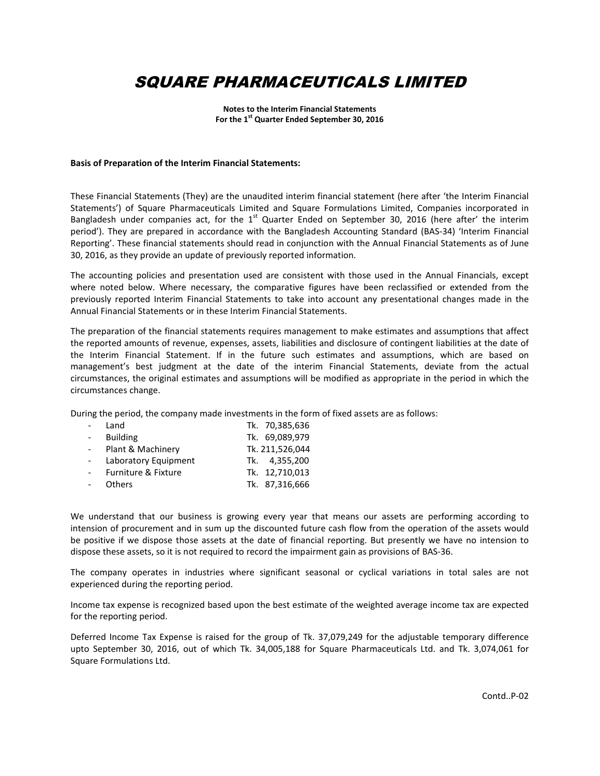**Notes to the Interim Financial Statements For the 1st Quarter Ended September 30, 2016**

#### **Basis of Preparation of the Interim Financial Statements:**

These Financial Statements (They) are the unaudited interim financial statement (here after 'the Interim Financial Statements') of Square Pharmaceuticals Limited and Square Formulations Limited, Companies incorporated in Bangladesh under companies act, for the  $1<sup>st</sup>$  Quarter Ended on September 30, 2016 (here after' the interim period'). They are prepared in accordance with the Bangladesh Accounting Standard (BAS-34) 'Interim Financial Reporting'. These financial statements should read in conjunction with the Annual Financial Statements as of June 30, 2016, as they provide an update of previously reported information.

The accounting policies and presentation used are consistent with those used in the Annual Financials, except where noted below. Where necessary, the comparative figures have been reclassified or extended from the previously reported Interim Financial Statements to take into account any presentational changes made in the Annual Financial Statements or in these Interim Financial Statements.

The preparation of the financial statements requires management to make estimates and assumptions that affect the reported amounts of revenue, expenses, assets, liabilities and disclosure of contingent liabilities at the date of the Interim Financial Statement. If in the future such estimates and assumptions, which are based on management's best judgment at the date of the interim Financial Statements, deviate from the actual circumstances, the original estimates and assumptions will be modified as appropriate in the period in which the circumstances change.

During the period, the company made investments in the form of fixed assets are as follows:

| Land                 | Tk. 70,385,636  |
|----------------------|-----------------|
| <b>Building</b>      | Tk. 69,089,979  |
| Plant & Machinery    | Tk. 211,526,044 |
| Laboratory Equipment | Tk. 4.355.200   |
| Furniture & Fixture  | Tk. 12,710,013  |
| <b>Others</b>        | Tk. 87,316,666  |

We understand that our business is growing every year that means our assets are performing according to intension of procurement and in sum up the discounted future cash flow from the operation of the assets would be positive if we dispose those assets at the date of financial reporting. But presently we have no intension to dispose these assets, so it is not required to record the impairment gain as provisions of BAS-36.

The company operates in industries where significant seasonal or cyclical variations in total sales are not experienced during the reporting period.

Income tax expense is recognized based upon the best estimate of the weighted average income tax are expected for the reporting period.

Deferred Income Tax Expense is raised for the group of Tk. 37,079,249 for the adjustable temporary difference upto September 30, 2016, out of which Tk. 34,005,188 for Square Pharmaceuticals Ltd. and Tk. 3,074,061 for Square Formulations Ltd.